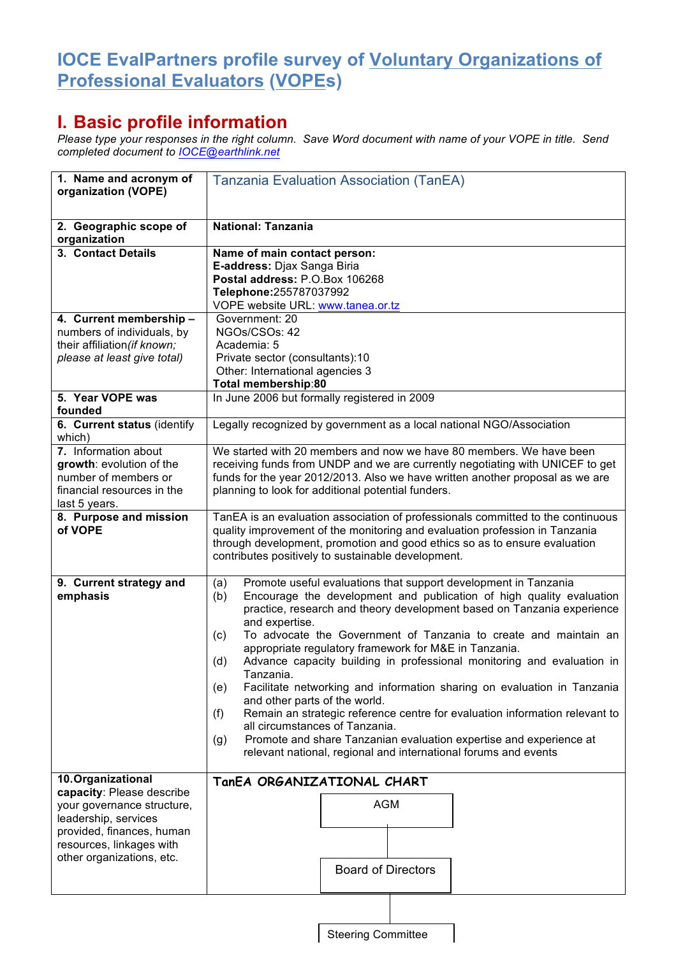## **IOCE EvalPartners profile survey of Voluntary Organizations of Professional Evaluators (VOPEs)**

## **I. Basic profile information**

*Please type your responses in the right column. Save Word document with name of your VOPE in title. Send completed document to IOCE@earthlink.net*

| 1. Name and acronym of<br>organization (VOPE)                                                                                            | <b>Tanzania Evaluation Association (TanEA)</b>                                                                                                                                                                                                                                                                                                                                                                                                                                                                                                                                                                                                                                                                                                                                                                                                                                 |
|------------------------------------------------------------------------------------------------------------------------------------------|--------------------------------------------------------------------------------------------------------------------------------------------------------------------------------------------------------------------------------------------------------------------------------------------------------------------------------------------------------------------------------------------------------------------------------------------------------------------------------------------------------------------------------------------------------------------------------------------------------------------------------------------------------------------------------------------------------------------------------------------------------------------------------------------------------------------------------------------------------------------------------|
| 2. Geographic scope of<br>organization                                                                                                   | <b>National: Tanzania</b>                                                                                                                                                                                                                                                                                                                                                                                                                                                                                                                                                                                                                                                                                                                                                                                                                                                      |
| 3. Contact Details                                                                                                                       | Name of main contact person:<br>E-address: Djax Sanga Biria<br>Postal address: P.O.Box 106268<br>Telephone: 255787037992<br>VOPE website URL: www.tanea.or.tz                                                                                                                                                                                                                                                                                                                                                                                                                                                                                                                                                                                                                                                                                                                  |
| 4. Current membership -<br>numbers of individuals, by<br>their affiliation (if known;<br>please at least give total)                     | Government: 20<br>NGOs/CSOs: 42<br>Academia: 5<br>Private sector (consultants):10<br>Other: International agencies 3<br>Total membership:80                                                                                                                                                                                                                                                                                                                                                                                                                                                                                                                                                                                                                                                                                                                                    |
| 5. Year VOPE was<br>founded                                                                                                              | In June 2006 but formally registered in 2009                                                                                                                                                                                                                                                                                                                                                                                                                                                                                                                                                                                                                                                                                                                                                                                                                                   |
| 6. Current status (identify<br>which)                                                                                                    | Legally recognized by government as a local national NGO/Association                                                                                                                                                                                                                                                                                                                                                                                                                                                                                                                                                                                                                                                                                                                                                                                                           |
| 7. Information about<br>growth: evolution of the<br>number of members or<br>financial resources in the<br>last 5 years.                  | We started with 20 members and now we have 80 members. We have been<br>receiving funds from UNDP and we are currently negotiating with UNICEF to get<br>funds for the year 2012/2013. Also we have written another proposal as we are<br>planning to look for additional potential funders.                                                                                                                                                                                                                                                                                                                                                                                                                                                                                                                                                                                    |
| 8. Purpose and mission<br>of VOPE                                                                                                        | TanEA is an evaluation association of professionals committed to the continuous<br>quality improvement of the monitoring and evaluation profession in Tanzania<br>through development, promotion and good ethics so as to ensure evaluation<br>contributes positively to sustainable development.                                                                                                                                                                                                                                                                                                                                                                                                                                                                                                                                                                              |
| 9. Current strategy and<br>emphasis                                                                                                      | Promote useful evaluations that support development in Tanzania<br>(a)<br>Encourage the development and publication of high quality evaluation<br>(b)<br>practice, research and theory development based on Tanzania experience<br>and expertise.<br>To advocate the Government of Tanzania to create and maintain an<br>(c)<br>appropriate regulatory framework for M&E in Tanzania.<br>Advance capacity building in professional monitoring and evaluation in<br>(d)<br>Tanzania.<br>Facilitate networking and information sharing on evaluation in Tanzania<br>(e)<br>and other parts of the world.<br>Remain an strategic reference centre for evaluation information relevant to<br>(f)<br>all circumstances of Tanzania.<br>Promote and share Tanzanian evaluation expertise and experience at<br>(g)<br>relevant national, regional and international forums and events |
| 10. Organizational<br>capacity: Please describe                                                                                          | TanEA ORGANIZATIONAL CHART                                                                                                                                                                                                                                                                                                                                                                                                                                                                                                                                                                                                                                                                                                                                                                                                                                                     |
| your governance structure,<br>leadership, services<br>provided, finances, human<br>resources, linkages with<br>other organizations, etc. | <b>AGM</b><br><b>Board of Directors</b>                                                                                                                                                                                                                                                                                                                                                                                                                                                                                                                                                                                                                                                                                                                                                                                                                                        |
|                                                                                                                                          |                                                                                                                                                                                                                                                                                                                                                                                                                                                                                                                                                                                                                                                                                                                                                                                                                                                                                |

Steering Committee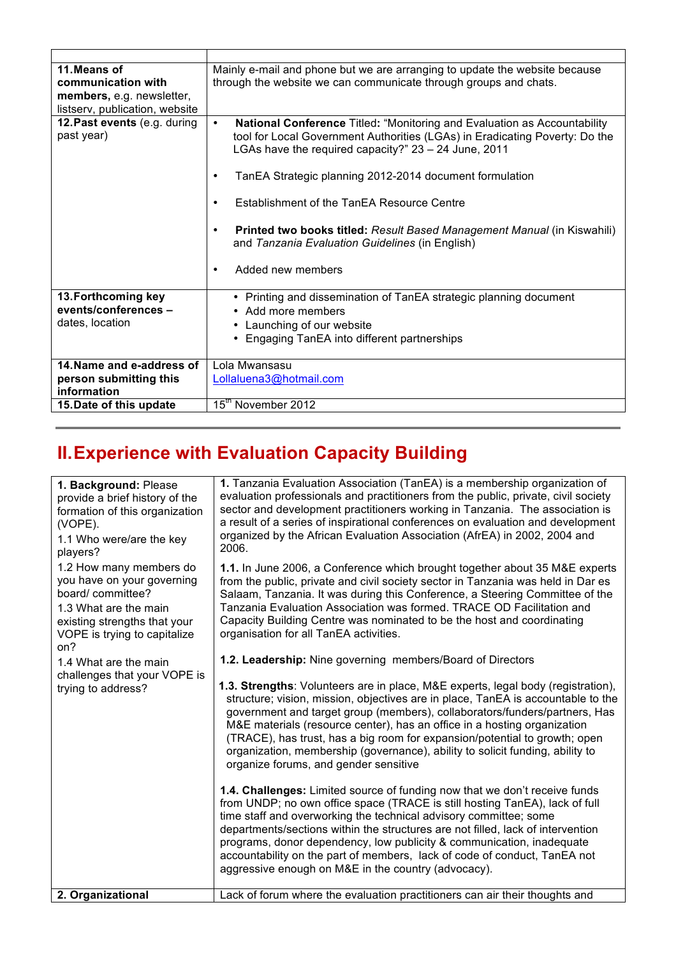| 11. Means of<br>communication with<br>members, e.g. newsletter,<br>listserv, publication, website | Mainly e-mail and phone but we are arranging to update the website because<br>through the website we can communicate through groups and chats.                                                                                                                                                                                                                                                                                                                                                                              |
|---------------------------------------------------------------------------------------------------|-----------------------------------------------------------------------------------------------------------------------------------------------------------------------------------------------------------------------------------------------------------------------------------------------------------------------------------------------------------------------------------------------------------------------------------------------------------------------------------------------------------------------------|
| 12. Past events (e.g. during<br>past year)                                                        | <b>National Conference Titled: "Monitoring and Evaluation as Accountability</b><br>$\bullet$<br>tool for Local Government Authorities (LGAs) in Eradicating Poverty: Do the<br>LGAs have the required capacity?" 23 - 24 June, 2011<br>TanEA Strategic planning 2012-2014 document formulation<br>٠<br>Establishment of the TanEA Resource Centre<br>٠<br>Printed two books titled: Result Based Management Manual (in Kiswahili)<br>٠<br>and Tanzania Evaluation Guidelines (in English)<br>Added new members<br>$\bullet$ |
| 13. Forthcoming key<br>events/conferences -<br>dates, location                                    | • Printing and dissemination of TanEA strategic planning document<br>• Add more members<br>• Launching of our website<br>Engaging TanEA into different partnerships                                                                                                                                                                                                                                                                                                                                                         |
| 14. Name and e-address of<br>person submitting this<br>information                                | Lola Mwansasu<br>Lollaluena3@hotmail.com                                                                                                                                                                                                                                                                                                                                                                                                                                                                                    |
| 15. Date of this update                                                                           | 15 <sup>th</sup> November 2012                                                                                                                                                                                                                                                                                                                                                                                                                                                                                              |

## **II.Experience with Evaluation Capacity Building**

| 1. Background: Please<br>provide a brief history of the<br>formation of this organization<br>(VOPE).<br>1.1 Who were/are the key<br>players?                                                                                                             | 1. Tanzania Evaluation Association (TanEA) is a membership organization of<br>evaluation professionals and practitioners from the public, private, civil society<br>sector and development practitioners working in Tanzania. The association is<br>a result of a series of inspirational conferences on evaluation and development<br>organized by the African Evaluation Association (AfrEA) in 2002, 2004 and<br>2006.                                                                                                                                                                            |
|----------------------------------------------------------------------------------------------------------------------------------------------------------------------------------------------------------------------------------------------------------|------------------------------------------------------------------------------------------------------------------------------------------------------------------------------------------------------------------------------------------------------------------------------------------------------------------------------------------------------------------------------------------------------------------------------------------------------------------------------------------------------------------------------------------------------------------------------------------------------|
| 1.2 How many members do<br>you have on your governing<br>board/committee?<br>1.3 What are the main<br>existing strengths that your<br>VOPE is trying to capitalize<br>on?<br>1.4 What are the main<br>challenges that your VOPE is<br>trying to address? | 1.1. In June 2006, a Conference which brought together about 35 M&E experts<br>from the public, private and civil society sector in Tanzania was held in Dar es<br>Salaam, Tanzania. It was during this Conference, a Steering Committee of the<br>Tanzania Evaluation Association was formed. TRACE OD Facilitation and<br>Capacity Building Centre was nominated to be the host and coordinating<br>organisation for all TanEA activities.                                                                                                                                                         |
|                                                                                                                                                                                                                                                          | 1.2. Leadership: Nine governing members/Board of Directors<br>1.3. Strengths: Volunteers are in place, M&E experts, legal body (registration),<br>structure; vision, mission, objectives are in place, TanEA is accountable to the<br>government and target group (members), collaborators/funders/partners, Has<br>M&E materials (resource center), has an office in a hosting organization<br>(TRACE), has trust, has a big room for expansion/potential to growth; open<br>organization, membership (governance), ability to solicit funding, ability to<br>organize forums, and gender sensitive |
|                                                                                                                                                                                                                                                          | 1.4. Challenges: Limited source of funding now that we don't receive funds<br>from UNDP; no own office space (TRACE is still hosting TanEA), lack of full<br>time staff and overworking the technical advisory committee; some<br>departments/sections within the structures are not filled, lack of intervention<br>programs, donor dependency, low publicity & communication, inadequate<br>accountability on the part of members, lack of code of conduct, TanEA not<br>aggressive enough on M&E in the country (advocacy).                                                                       |
| 2. Organizational                                                                                                                                                                                                                                        | Lack of forum where the evaluation practitioners can air their thoughts and                                                                                                                                                                                                                                                                                                                                                                                                                                                                                                                          |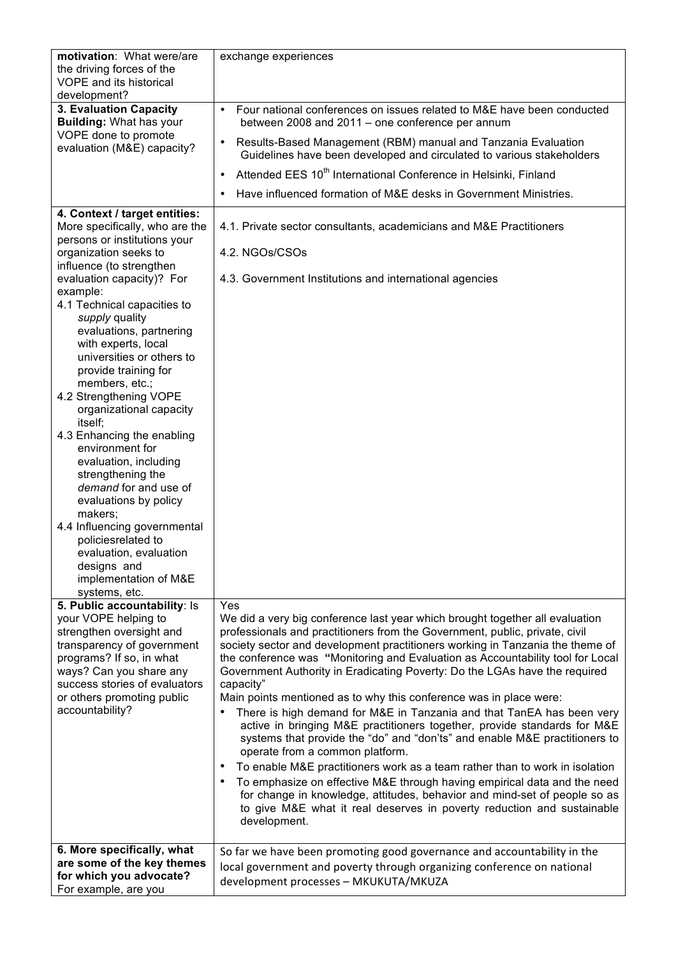| motivation: What were/are                           | exchange experiences                                                                                                                                         |
|-----------------------------------------------------|--------------------------------------------------------------------------------------------------------------------------------------------------------------|
| the driving forces of the                           |                                                                                                                                                              |
| <b>VOPE and its historical</b>                      |                                                                                                                                                              |
| development?<br>3. Evaluation Capacity              | Four national conferences on issues related to M&E have been conducted<br>$\bullet$                                                                          |
| <b>Building: What has your</b>                      | between 2008 and 2011 – one conference per annum                                                                                                             |
| VOPE done to promote<br>evaluation (M&E) capacity?  | Results-Based Management (RBM) manual and Tanzania Evaluation<br>$\bullet$<br>Guidelines have been developed and circulated to various stakeholders          |
|                                                     | Attended EES 10 <sup>th</sup> International Conference in Helsinki, Finland<br>$\bullet$                                                                     |
|                                                     | Have influenced formation of M&E desks in Government Ministries.                                                                                             |
| 4. Context / target entities:                       |                                                                                                                                                              |
| More specifically, who are the                      | 4.1. Private sector consultants, academicians and M&E Practitioners                                                                                          |
| persons or institutions your                        |                                                                                                                                                              |
| organization seeks to                               | 4.2. NGOs/CSOs                                                                                                                                               |
| influence (to strengthen                            |                                                                                                                                                              |
| evaluation capacity)? For                           | 4.3. Government Institutions and international agencies                                                                                                      |
| example:<br>4.1 Technical capacities to             |                                                                                                                                                              |
| supply quality                                      |                                                                                                                                                              |
| evaluations, partnering                             |                                                                                                                                                              |
| with experts, local                                 |                                                                                                                                                              |
| universities or others to                           |                                                                                                                                                              |
| provide training for                                |                                                                                                                                                              |
| members, etc.;<br>4.2 Strengthening VOPE            |                                                                                                                                                              |
| organizational capacity                             |                                                                                                                                                              |
| itself;                                             |                                                                                                                                                              |
| 4.3 Enhancing the enabling                          |                                                                                                                                                              |
| environment for                                     |                                                                                                                                                              |
| evaluation, including<br>strengthening the          |                                                                                                                                                              |
| demand for and use of                               |                                                                                                                                                              |
| evaluations by policy                               |                                                                                                                                                              |
| makers;                                             |                                                                                                                                                              |
| 4.4 Influencing governmental                        |                                                                                                                                                              |
| policiesrelated to                                  |                                                                                                                                                              |
| evaluation, evaluation                              |                                                                                                                                                              |
| designs and<br>implementation of M&E                |                                                                                                                                                              |
| systems, etc.                                       |                                                                                                                                                              |
| 5. Public accountability: Is                        | Yes                                                                                                                                                          |
| your VOPE helping to                                | We did a very big conference last year which brought together all evaluation                                                                                 |
| strengthen oversight and                            | professionals and practitioners from the Government, public, private, civil                                                                                  |
| transparency of government                          | society sector and development practitioners working in Tanzania the theme of                                                                                |
| programs? If so, in what<br>ways? Can you share any | the conference was "Monitoring and Evaluation as Accountability tool for Local<br>Government Authority in Eradicating Poverty: Do the LGAs have the required |
| success stories of evaluators                       | capacity"                                                                                                                                                    |
| or others promoting public                          | Main points mentioned as to why this conference was in place were:                                                                                           |
| accountability?                                     | There is high demand for M&E in Tanzania and that TanEA has been very<br>٠                                                                                   |
|                                                     | active in bringing M&E practitioners together, provide standards for M&E                                                                                     |
|                                                     | systems that provide the "do" and "don'ts" and enable M&E practitioners to                                                                                   |
|                                                     | operate from a common platform.                                                                                                                              |
|                                                     | To enable M&E practitioners work as a team rather than to work in isolation<br>$\bullet$                                                                     |
|                                                     | To emphasize on effective M&E through having empirical data and the need<br>for change in knowledge, attitudes, behavior and mind-set of people so as        |
|                                                     | to give M&E what it real deserves in poverty reduction and sustainable                                                                                       |
|                                                     | development.                                                                                                                                                 |
|                                                     |                                                                                                                                                              |
| 6. More specifically, what                          | So far we have been promoting good governance and accountability in the                                                                                      |
| are some of the key themes                          | local government and poverty through organizing conference on national                                                                                       |
| for which you advocate?<br>For example, are you     | development processes - MKUKUTA/MKUZA                                                                                                                        |
|                                                     |                                                                                                                                                              |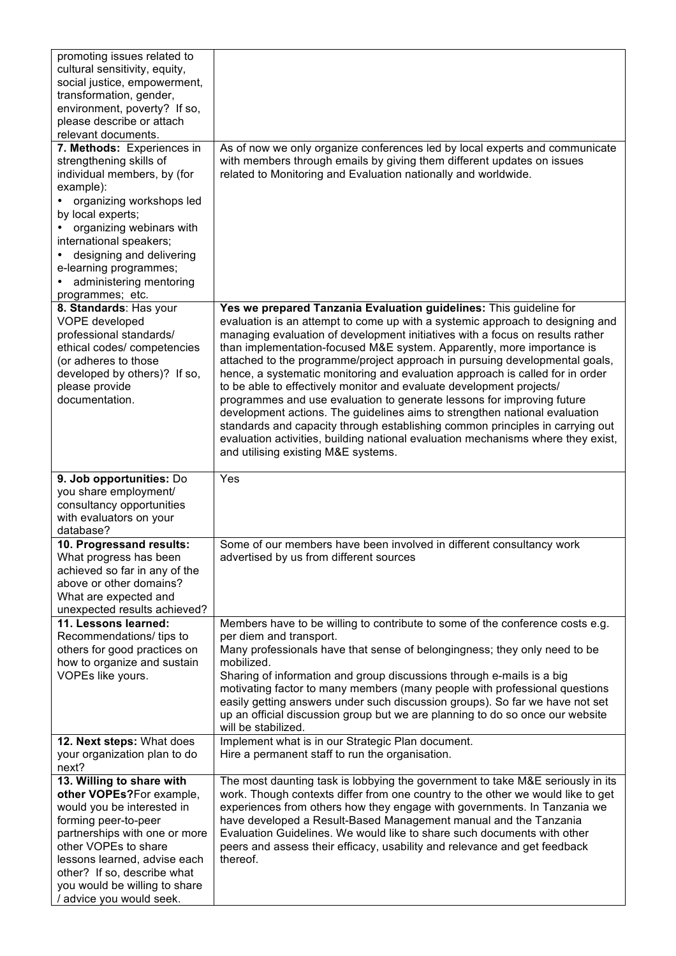| promoting issues related to                              |                                                                                                                                                             |
|----------------------------------------------------------|-------------------------------------------------------------------------------------------------------------------------------------------------------------|
| cultural sensitivity, equity,                            |                                                                                                                                                             |
| social justice, empowerment,                             |                                                                                                                                                             |
| transformation, gender,                                  |                                                                                                                                                             |
| environment, poverty? If so,                             |                                                                                                                                                             |
| please describe or attach                                |                                                                                                                                                             |
| relevant documents.<br>7. Methods: Experiences in        | As of now we only organize conferences led by local experts and communicate                                                                                 |
| strengthening skills of                                  | with members through emails by giving them different updates on issues                                                                                      |
| individual members, by (for                              | related to Monitoring and Evaluation nationally and worldwide.                                                                                              |
| example):                                                |                                                                                                                                                             |
| organizing workshops led                                 |                                                                                                                                                             |
| by local experts;                                        |                                                                                                                                                             |
| organizing webinars with                                 |                                                                                                                                                             |
| international speakers;                                  |                                                                                                                                                             |
| designing and delivering                                 |                                                                                                                                                             |
| e-learning programmes;                                   |                                                                                                                                                             |
| administering mentoring                                  |                                                                                                                                                             |
| programmes; etc.                                         |                                                                                                                                                             |
| 8. Standards: Has your                                   | Yes we prepared Tanzania Evaluation guidelines: This guideline for                                                                                          |
| VOPE developed                                           | evaluation is an attempt to come up with a systemic approach to designing and                                                                               |
| professional standards/                                  | managing evaluation of development initiatives with a focus on results rather                                                                               |
| ethical codes/ competencies                              | than implementation-focused M&E system. Apparently, more importance is                                                                                      |
| (or adheres to those                                     | attached to the programme/project approach in pursuing developmental goals,                                                                                 |
| developed by others)? If so,                             | hence, a systematic monitoring and evaluation approach is called for in order                                                                               |
| please provide                                           | to be able to effectively monitor and evaluate development projects/                                                                                        |
| documentation.                                           | programmes and use evaluation to generate lessons for improving future                                                                                      |
|                                                          | development actions. The guidelines aims to strengthen national evaluation<br>standards and capacity through establishing common principles in carrying out |
|                                                          | evaluation activities, building national evaluation mechanisms where they exist,                                                                            |
|                                                          | and utilising existing M&E systems.                                                                                                                         |
|                                                          |                                                                                                                                                             |
| 9. Job opportunities: Do                                 | Yes                                                                                                                                                         |
| you share employment/                                    |                                                                                                                                                             |
| consultancy opportunities                                |                                                                                                                                                             |
| with evaluators on your                                  |                                                                                                                                                             |
| database?                                                |                                                                                                                                                             |
| 10. Progressand results:                                 | Some of our members have been involved in different consultancy work                                                                                        |
| What progress has been                                   | advertised by us from different sources                                                                                                                     |
| achieved so far in any of the<br>above or other domains? |                                                                                                                                                             |
| What are expected and                                    |                                                                                                                                                             |
| unexpected results achieved?                             |                                                                                                                                                             |
| 11. Lessons learned:                                     | Members have to be willing to contribute to some of the conference costs e.g.                                                                               |
| Recommendations/ tips to                                 | per diem and transport.                                                                                                                                     |
| others for good practices on                             | Many professionals have that sense of belongingness; they only need to be                                                                                   |
| how to organize and sustain                              | mobilized.                                                                                                                                                  |
| VOPEs like yours.                                        | Sharing of information and group discussions through e-mails is a big                                                                                       |
|                                                          | motivating factor to many members (many people with professional questions                                                                                  |
|                                                          | easily getting answers under such discussion groups). So far we have not set                                                                                |
|                                                          | up an official discussion group but we are planning to do so once our website                                                                               |
|                                                          | will be stabilized.                                                                                                                                         |
| 12. Next steps: What does                                | Implement what is in our Strategic Plan document.                                                                                                           |
| your organization plan to do<br>next?                    | Hire a permanent staff to run the organisation.                                                                                                             |
| 13. Willing to share with                                | The most daunting task is lobbying the government to take M&E seriously in its                                                                              |
| other VOPEs?For example,                                 | work. Though contexts differ from one country to the other we would like to get                                                                             |
| would you be interested in                               | experiences from others how they engage with governments. In Tanzania we                                                                                    |
| forming peer-to-peer                                     | have developed a Result-Based Management manual and the Tanzania                                                                                            |
| partnerships with one or more                            | Evaluation Guidelines. We would like to share such documents with other                                                                                     |
| other VOPEs to share                                     | peers and assess their efficacy, usability and relevance and get feedback                                                                                   |
| lessons learned, advise each                             | thereof.                                                                                                                                                    |
| other? If so, describe what                              |                                                                                                                                                             |
| you would be willing to share                            |                                                                                                                                                             |
| / advice you would seek.                                 |                                                                                                                                                             |